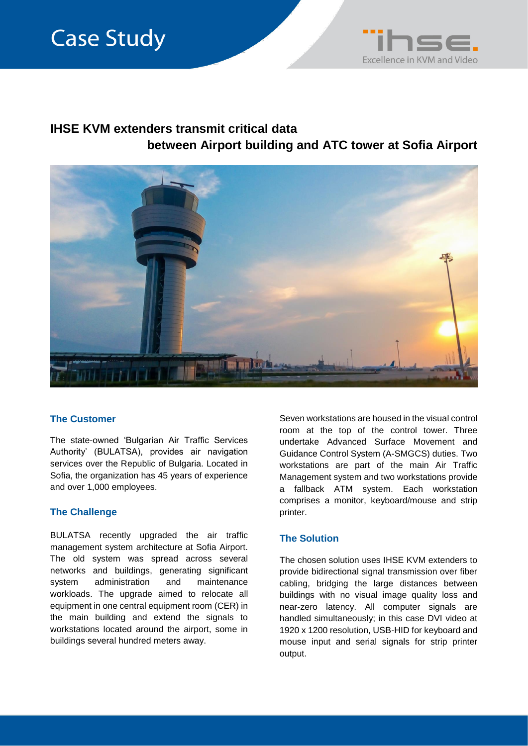# **Case Study**



## **IHSE KVM extenders transmit critical data between Airport building and ATC tower at Sofia Airport**



### **The Customer**

The state-owned 'Bulgarian Air Traffic Services Authority' (BULATSA), provides air navigation services over the Republic of Bulgaria. Located in Sofia, the organization has 45 years of experience and over 1,000 employees.

### **The Challenge**

BULATSA recently upgraded the air traffic management system architecture at Sofia Airport. The old system was spread across several networks and buildings, generating significant system administration and maintenance workloads. The upgrade aimed to relocate all equipment in one central equipment room (CER) in the main building and extend the signals to workstations located around the airport, some in buildings several hundred meters away.

Seven workstations are housed in the visual control room at the top of the control tower. Three undertake Advanced Surface Movement and Guidance Control System (A-SMGCS) duties. Two workstations are part of the main Air Traffic Management system and two workstations provide a fallback ATM system. Each workstation comprises a monitor, keyboard/mouse and strip printer.

#### **The Solution**

The chosen solution uses IHSE KVM extenders to provide bidirectional signal transmission over fiber cabling, bridging the large distances between buildings with no visual image quality loss and near-zero latency. All computer signals are handled simultaneously; in this case DVI video at 1920 x 1200 resolution, USB-HID for keyboard and mouse input and serial signals for strip printer output.